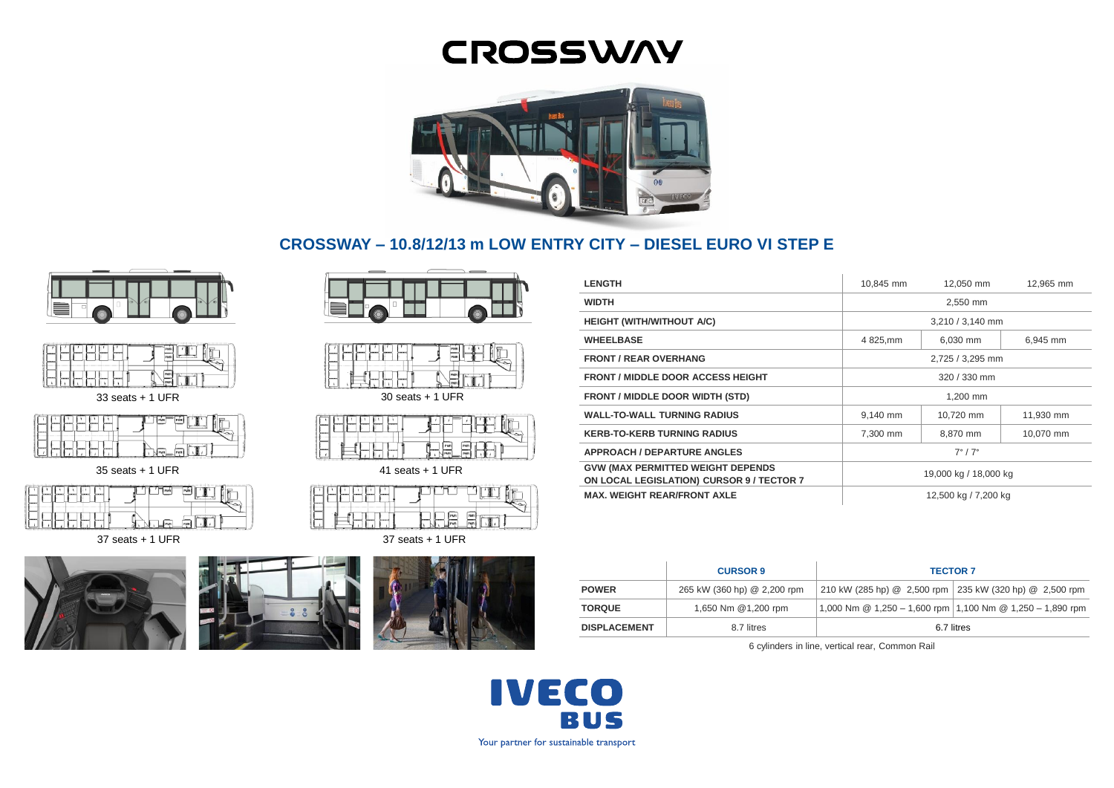# **CROSSWAY**



# **CROSSWAY – 10.8/12/13 m LOW ENTRY CITY – DIESEL EURO VI STEP E**





33 seats + 1 UFR

35 seats + 1 UFR

37 seats + 1 UFR









30 seats + 1 UFR



41 seats + 1 UFR

| --<br>                 |  |  |  |            |  |
|------------------------|--|--|--|------------|--|
| --                     |  |  |  | <b>DAA</b> |  |
| $27$ coote $\pm$ 1 HED |  |  |  |            |  |

37 seats + 1 UFR



| <b>LENGTH</b>                                                                  | 10.845 mm                 | 12.050 mm | 12,965 mm |  |
|--------------------------------------------------------------------------------|---------------------------|-----------|-----------|--|
| <b>WIDTH</b>                                                                   |                           | 2,550 mm  |           |  |
| <b>HEIGHT (WITH/WITHOUT A/C)</b>                                               | 3,210 / 3,140 mm          |           |           |  |
| <b>WHEELBASE</b>                                                               | 4 825, mm                 | 6,030 mm  | 6.945 mm  |  |
| <b>FRONT / REAR OVERHANG</b>                                                   | 2,725 / 3,295 mm          |           |           |  |
| <b>FRONT / MIDDLE DOOR ACCESS HEIGHT</b>                                       | 320 / 330 mm              |           |           |  |
| <b>FRONT / MIDDLE DOOR WIDTH (STD)</b>                                         | 1.200 mm                  |           |           |  |
| <b>WALL-TO-WALL TURNING RADIUS</b>                                             | 9.140 mm                  | 10.720 mm | 11.930 mm |  |
| <b>KERB-TO-KERB TURNING RADIUS</b>                                             | 7,300 mm                  | 8,870 mm  | 10,070 mm |  |
| <b>APPROACH / DEPARTURE ANGLES</b>                                             | $7^{\circ}$ / $7^{\circ}$ |           |           |  |
| GVW (MAX PERMITTED WEIGHT DEPENDS<br>ON LOCAL LEGISLATION) CURSOR 9 / TECTOR 7 | 19,000 kg / 18,000 kg     |           |           |  |
| <b>MAX. WEIGHT REAR/FRONT AXLE</b>                                             | 12,500 kg / 7,200 kg      |           |           |  |

|                     | <b>CURSOR 9</b>             | <b>TECTOR 7</b>                                         |                                                               |  |
|---------------------|-----------------------------|---------------------------------------------------------|---------------------------------------------------------------|--|
| <b>POWER</b>        | 265 kW (360 hp) @ 2,200 rpm | 210 kW (285 hp) @ 2,500 rpm 235 kW (320 hp) @ 2,500 rpm |                                                               |  |
| <b>TORQUE</b>       | 1,650 Nm @1,200 rpm         |                                                         | 1,000 Nm $@$ 1,250 - 1,600 rpm 1,100 Nm $@$ 1,250 - 1,890 rpm |  |
| <b>DISPLACEMENT</b> | 8.7 litres                  | 6.7 litres                                              |                                                               |  |

6 cylinders in line, vertical rear, Common Rail

**IVECO BUS** Your partner for sustainable transport